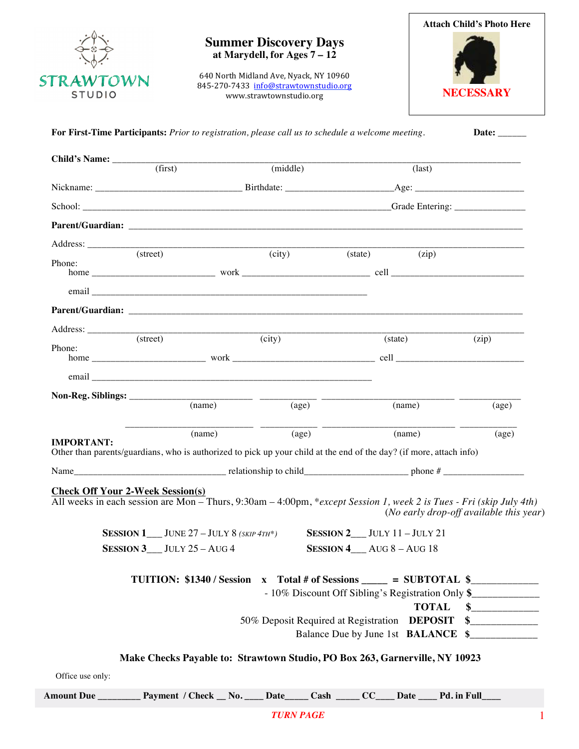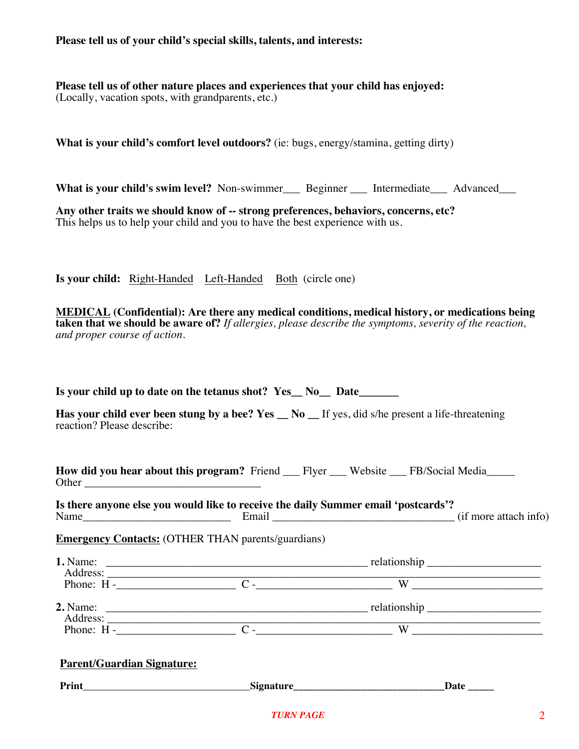**Please tell us of your child's special skills, talents, and interests:**

**Please tell us of other nature places and experiences that your child has enjoyed:** (Locally, vacation spots, with grandparents, etc.)

**What is your child's comfort level outdoors?** (ie: bugs, energy/stamina, getting dirty)

**What is your child's swim level?** Non-swimmer Beginner Intermediate Advanced

**Any other traits we should know of -- strong preferences, behaviors, concerns, etc?** This helps us to help your child and you to have the best experience with us.

**Is your child:** Right-Handed Left-Handed Both (circle one)

 **MEDICAL (Confidential): Are there any medical conditions, medical history, or medications being taken that we should be aware of?** *If allergies, please describe the symptoms, severity of the reaction, and proper course of action.*

Is your child up to date on the tetanus shot? Yes No Date

**Has your child ever been stung by a bee? Yes \_\_ No \_\_ If yes, did s/he present a life-threatening** reaction? Please describe:

**How did you hear about this program?** Friend Flyer Website FB/Social Media Other \_\_\_\_\_\_\_\_\_\_\_\_\_\_\_\_\_\_\_\_\_\_\_\_\_\_\_\_\_\_\_

**Is there anyone else you would like to receive the daily Summer email 'postcards'?** Name\_\_\_\_\_\_\_\_\_\_\_\_\_\_\_\_\_\_\_\_\_\_\_\_\_\_ Email \_\_\_\_\_\_\_\_\_\_\_\_\_\_\_\_\_\_\_\_\_\_\_\_\_\_\_\_\_\_\_\_ (if more attach info)

**Emergency Contacts:** (OTHER THAN parents/guardians)

| 1. Name:<br>Address:   |                                                              |  |  |  |
|------------------------|--------------------------------------------------------------|--|--|--|
| Phone: $H -$           | W                                                            |  |  |  |
| $2.$ Name:<br>Address: | relationship<br>the control of the control of the control of |  |  |  |
| Phone: $H -$           | W                                                            |  |  |  |

| <b>Parent/Guardian Signature:</b> |  |  |
|-----------------------------------|--|--|
|                                   |  |  |

Print **Print Prince 2.1 <b>Print Prince 2.1 Date** 2.1 *p* 2.1 *p 3.1 p 3.1 <i>p* 3.1 *p 3.1 p 3.1 <i>p* 3.1 *p* 3.1 *p* 3.1 *p* 3.1 *p* 3.1 *p* 3.1 *p* 3.1 *p* 3.1 *p* 3.1 *p* 3.1 *p* 3.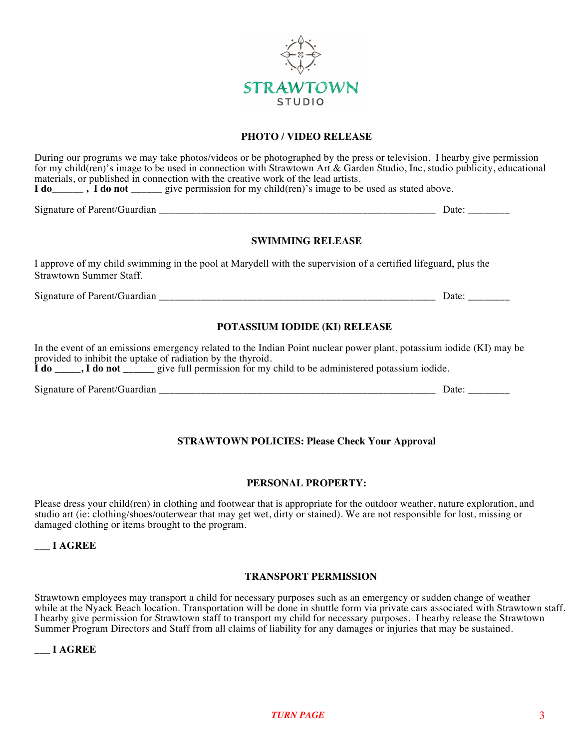

#### **PHOTO / VIDEO RELEASE**

During our programs we may take photos/videos or be photographed by the press or television. I hearby give permission for my child(ren)'s image to be used in connection with Strawtown Art & Garden Studio, Inc, studio publicity, educational

materials, or published in connection with the creative work of the lead artists. **I do\_\_\_\_\_\_\_\_\_\_\_\_\_\_\_\_\_\_**, **I** do not give permission for my child(ren)'s image to be used as stated above. Signature of Parent/Guardian \_\_\_\_\_\_\_\_\_\_\_\_\_\_\_\_\_\_\_\_\_\_\_\_\_\_\_\_\_\_\_\_\_\_\_\_\_\_\_\_\_\_\_\_\_\_\_\_\_\_\_\_\_ Date: \_\_\_\_\_\_\_\_ **SWIMMING RELEASE** I approve of my child swimming in the pool at Marydell with the supervision of a certified lifeguard, plus the Strawtown Summer Staff. Signature of Parent/Guardian \_\_\_\_\_\_\_\_\_\_\_\_\_\_\_\_\_\_\_\_\_\_\_\_\_\_\_\_\_\_\_\_\_\_\_\_\_\_\_\_\_\_\_\_\_\_\_\_\_\_\_\_\_ Date: \_\_\_\_\_\_\_\_ **POTASSIUM IODIDE (KI) RELEASE** In the event of an emissions emergency related to the Indian Point nuclear power plant, potassium iodide (KI) may be provided to inhibit the uptake of radiation by the thyroid.

**I** do \_\_\_\_\_, **I** do not \_\_\_\_\_\_\_ give full permission for my child to be administered potassium iodide.

Signature of Parent/Guardian \_\_\_\_\_\_\_\_\_\_\_\_\_\_\_\_\_\_\_\_\_\_\_\_\_\_\_\_\_\_\_\_\_\_\_\_\_\_\_\_\_\_\_\_\_\_\_\_\_\_\_\_\_ Date: \_\_\_\_\_\_\_\_

## **STRAWTOWN POLICIES: Please Check Your Approval**

### **PERSONAL PROPERTY:**

Please dress your child(ren) in clothing and footwear that is appropriate for the outdoor weather, nature exploration, and studio art (ie: clothing/shoes/outerwear that may get wet, dirty or stained). We are not responsible for lost, missing or damaged clothing or items brought to the program.

**\_\_\_ I AGREE**

#### **TRANSPORT PERMISSION**

Strawtown employees may transport a child for necessary purposes such as an emergency or sudden change of weather while at the Nyack Beach location. Transportation will be done in shuttle form via private cars associated with Strawtown staff. I hearby give permission for Strawtown staff to transport my child for necessary purposes. I hearby release the Strawtown Summer Program Directors and Staff from all claims of liability for any damages or injuries that may be sustained.

#### **\_\_\_ I AGREE**